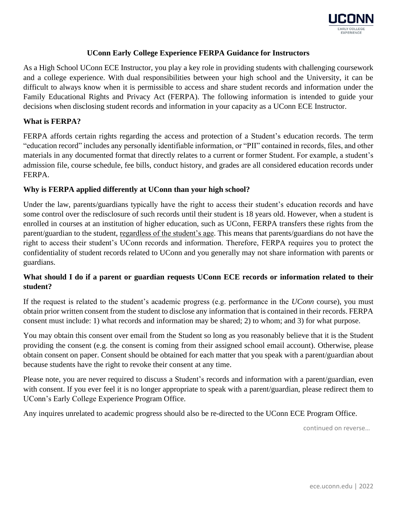

## **UConn Early College Experience FERPA Guidance for Instructors**

As a High School UConn ECE Instructor, you play a key role in providing students with challenging coursework and a college experience. With dual responsibilities between your high school and the University, it can be difficult to always know when it is permissible to access and share student records and information under the Family Educational Rights and Privacy Act (FERPA). The following information is intended to guide your decisions when disclosing student records and information in your capacity as a UConn ECE Instructor.

#### **What is FERPA?**

FERPA affords certain rights regarding the access and protection of a Student's education records. The term "education record" includes any personally identifiable information, or "PII" contained in records, files, and other materials in any documented format that directly relates to a current or former Student. For example, a student's admission file, course schedule, fee bills, conduct history, and grades are all considered education records under FERPA.

#### **Why is FERPA applied differently at UConn than your high school?**

Under the law, parents/guardians typically have the right to access their student's education records and have some control over the redisclosure of such records until their student is 18 years old. However, when a student is enrolled in courses at an institution of higher education, such as UConn, FERPA transfers these rights from the parent/guardian to the student, regardless of the student's age. This means that parents/guardians do not have the right to access their student's UConn records and information. Therefore, FERPA requires you to protect the confidentiality of student records related to UConn and you generally may not share information with parents or guardians.

## **What should I do if a parent or guardian requests UConn ECE records or information related to their student?**

If the request is related to the student's academic progress (e.g. performance in the *UConn* course), you must obtain prior written consent from the student to disclose any information that is contained in their records. FERPA consent must include: 1) what records and information may be shared; 2) to whom; and 3) for what purpose.

You may obtain this consent over email from the Student so long as you reasonably believe that it is the Student providing the consent (e.g. the consent is coming from their assigned school email account). Otherwise, please obtain consent on paper. Consent should be obtained for each matter that you speak with a parent/guardian about because students have the right to revoke their consent at any time.

Please note, you are never required to discuss a Student's records and information with a parent/guardian, even with consent. If you ever feel it is no longer appropriate to speak with a parent/guardian, please redirect them to UConn's Early College Experience Program Office.

Any inquires unrelated to academic progress should also be re-directed to the UConn ECE Program Office.

continued on reverse…